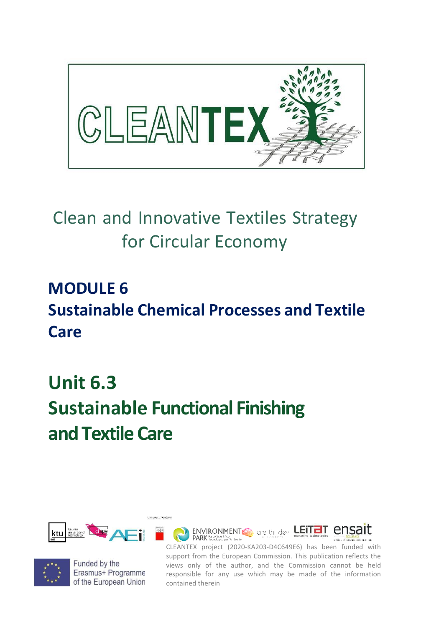

## Clean and Innovative Textiles Strategy for Circular Economy

### **MODULE 6 Sustainable Chemical Processes and Textile Care**

# **Unit 6.3 Sustainable Functional Finishing and Textile Care**





Funded by the Erasmus+ Programme of the European Union

CLEANTEX project (2020-KA203-D4C649E6) has been funded with support from the European Commission. This publication reflects the views only of the author, and the Commission cannot be held responsible for any use which may be made of the information contained therein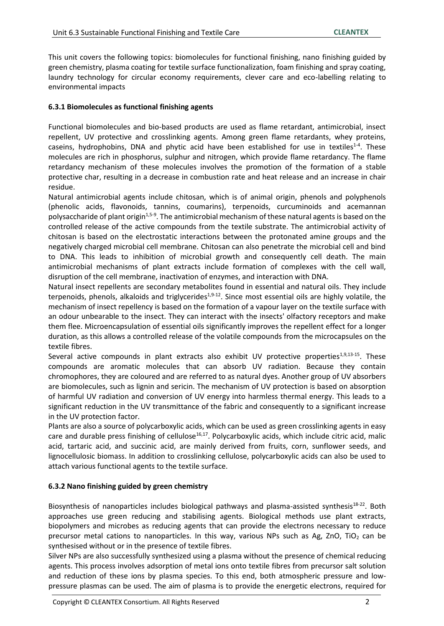This unit covers the following topics: biomolecules for functional finishing, nano finishing guided by green chemistry, plasma coating for textile surface functionalization, foam finishing and spray coating, laundry technology for circular economy requirements, clever care and eco-labelling relating to environmental impacts

#### **6.3.1 Biomolecules as functional finishing agents**

Functional biomolecules and bio-based products are used as flame retardant, antimicrobial, insect repellent, UV protective and crosslinking agents. Among green flame retardants, whey proteins, caseins, hydrophobins, DNA and phytic acid have been established for use in textiles<sup>1-4</sup>. These molecules are rich in phosphorus, sulphur and nitrogen, which provide flame retardancy. The flame retardancy mechanism of these molecules involves the promotion of the formation of a stable protective char, resulting in a decrease in combustion rate and heat release and an increase in chair residue.

Natural antimicrobial agents include chitosan, which is of animal origin, phenols and polyphenols (phenolic acids, flavonoids, tannins, coumarins), terpenoids, curcuminoids and acemannan polysaccharide of plant origin<sup>1,5-9</sup>. The antimicrobial mechanism of these natural agents is based on the controlled release of the active compounds from the textile substrate. The antimicrobial activity of chitosan is based on the electrostatic interactions between the protonated amine groups and the negatively charged microbial cell membrane. Chitosan can also penetrate the microbial cell and bind to DNA. This leads to inhibition of microbial growth and consequently cell death. The main antimicrobial mechanisms of plant extracts include formation of complexes with the cell wall, disruption of the cell membrane, inactivation of enzymes, and interaction with DNA.

Natural insect repellents are secondary metabolites found in essential and natural oils. They include terpenoids, phenols, alkaloids and triglycerides<sup>1,9-12</sup>. Since most essential oils are highly volatile, the mechanism of insect repellency is based on the formation of a vapour layer on the textile surface with an odour unbearable to the insect. They can interact with the insects' olfactory receptors and make them flee. Microencapsulation of essential oils significantly improves the repellent effect for a longer duration, as this allows a controlled release of the volatile compounds from the microcapsules on the textile fibres.

Several active compounds in plant extracts also exhibit UV protective properties<sup>1,9,13-15</sup>. These compounds are aromatic molecules that can absorb UV radiation. Because they contain chromophores, they are coloured and are referred to as natural dyes. Another group of UV absorbers are biomolecules, such as lignin and sericin. The mechanism of UV protection is based on absorption of harmful UV radiation and conversion of UV energy into harmless thermal energy. This leads to a significant reduction in the UV transmittance of the fabric and consequently to a significant increase in the UV protection factor.

Plants are also a source of polycarboxylic acids, which can be used as green crosslinking agents in easy care and durable press finishing of cellulose<sup>16,17</sup>. Polycarboxylic acids, which include citric acid, malic acid, tartaric acid, and succinic acid, are mainly derived from fruits, corn, sunflower seeds, and lignocellulosic biomass. In addition to crosslinking cellulose, polycarboxylic acids can also be used to attach various functional agents to the textile surface.

#### **6.3.2 Nano finishing guided by green chemistry**

Biosynthesis of nanoparticles includes biological pathways and plasma-assisted synthesis<sup>18-22</sup>. Both approaches use green reducing and stabilising agents. Biological methods use plant extracts, biopolymers and microbes as reducing agents that can provide the electrons necessary to reduce precursor metal cations to nanoparticles. In this way, various NPs such as Ag, ZnO, TiO<sub>2</sub> can be synthesised without or in the presence of textile fibres.

Silver NPs are also successfully synthesized using a plasma without the presence of chemical reducing agents. This process involves adsorption of metal ions onto textile fibres from precursor salt solution and reduction of these ions by plasma species. To this end, both atmospheric pressure and low‐ pressure plasmas can be used. The aim of plasma is to provide the energetic electrons, required for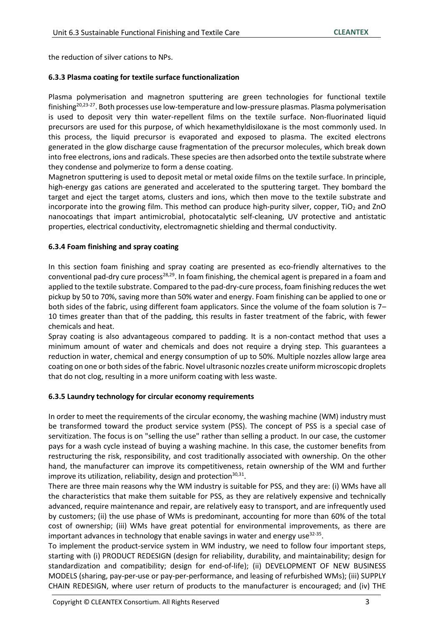the reduction of silver cations to NPs.

#### **6.3.3 Plasma coating for textile surface functionalization**

Plasma polymerisation and magnetron sputtering are green technologies for functional textile finishing<sup>20,23-27</sup>. Both processes use low-temperature and low-pressure plasmas. Plasma polymerisation is used to deposit very thin water-repellent films on the textile surface. Non-fluorinated liquid precursors are used for this purpose, of which hexamethyldisiloxane is the most commonly used. In this process, the liquid precursor is evaporated and exposed to plasma. The excited electrons generated in the glow discharge cause fragmentation of the precursor molecules, which break down into free electrons, ions and radicals. These species are then adsorbed onto the textile substrate where they condense and polymerize to form a dense coating.

Magnetron sputtering is used to deposit metal or metal oxide films on the textile surface. In principle, high-energy gas cations are generated and accelerated to the sputtering target. They bombard the target and eject the target atoms, clusters and ions, which then move to the textile substrate and incorporate into the growing film. This method can produce high-purity silver, copper,  $TiO<sub>2</sub>$  and ZnO nanocoatings that impart antimicrobial, photocatalytic self-cleaning, UV protective and antistatic properties, electrical conductivity, electromagnetic shielding and thermal conductivity.

#### **6.3.4 Foam finishing and spray coating**

In this section foam finishing and spray coating are presented as eco-friendly alternatives to the conventional pad-dry cure process<sup>28,29</sup>. In foam finishing, the chemical agent is prepared in a foam and applied to the textile substrate. Compared to the pad-dry-cure process, foam finishing reduces the wet pickup by 50 to 70%, saving more than 50% water and energy. Foam finishing can be applied to one or both sides of the fabric, using different foam applicators. Since the volume of the foam solution is 7– 10 times greater than that of the padding, this results in faster treatment of the fabric, with fewer chemicals and heat.

Spray coating is also advantageous compared to padding. It is a non-contact method that uses a minimum amount of water and chemicals and does not require a drying step. This guarantees a reduction in water, chemical and energy consumption of up to 50%. Multiple nozzles allow large area coating on one or both sides of the fabric. Novel ultrasonic nozzles create uniform microscopic droplets that do not clog, resulting in a more uniform coating with less waste.

#### **6.3.5 Laundry technology for circular economy requirements**

In order to meet the requirements of the circular economy, the washing machine (WM) industry must be transformed toward the product service system (PSS). The concept of PSS is a special case of servitization. The focus is on "selling the use" rather than selling a product. In our case, the customer pays for a wash cycle instead of buying a washing machine. In this case, the customer benefits from restructuring the risk, responsibility, and cost traditionally associated with ownership. On the other hand, the manufacturer can improve its competitiveness, retain ownership of the WM and further improve its utilization, reliability, design and protection $^{30,31}$ .

There are three main reasons why the WM industry is suitable for PSS, and they are: (i) WMs have all the characteristics that make them suitable for PSS, as they are relatively expensive and technically advanced, require maintenance and repair, are relatively easy to transport, and are infrequently used by customers; (ii) the use phase of WMs is predominant, accounting for more than 60% of the total cost of ownership; (iii) WMs have great potential for environmental improvements, as there are important advances in technology that enable savings in water and energy use<sup>32-35</sup>.

To implement the product-service system in WM industry, we need to follow four important steps, starting with (i) PRODUCT REDESIGN (design for reliability, durability, and maintainability; design for standardization and compatibility; design for end-of-life); (ii) DEVELOPMENT OF NEW BUSINESS MODELS (sharing, pay-per-use or pay-per-performance, and leasing of refurbished WMs); (iii) SUPPLY CHAIN REDESIGN, where user return of products to the manufacturer is encouraged; and (iv) THE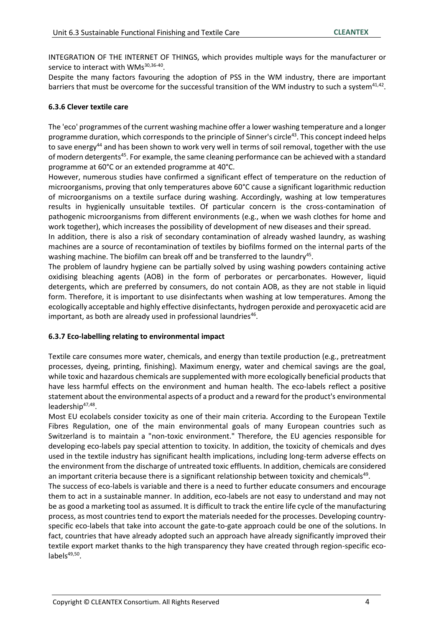INTEGRATION OF THE INTERNET OF THINGS, which provides multiple ways for the manufacturer or service to interact with WMs<sup>30,36-40</sup>.

Despite the many factors favouring the adoption of PSS in the WM industry, there are important barriers that must be overcome for the successful transition of the WM industry to such a system $41,42$ .

#### **6.3.6 Clever textile care**

The 'eco' programmes of the current washing machine offer a lower washing temperature and a longer programme duration, which corresponds to the principle of Sinner's circle<sup>43</sup>. This concept indeed helps to save energy<sup>44</sup> and has been shown to work very well in terms of soil removal, together with the use of modern detergents<sup>45</sup>. For example, the same cleaning performance can be achieved with a standard programme at 60°C or an extended programme at 40°C.

However, numerous studies have confirmed a significant effect of temperature on the reduction of microorganisms, proving that only temperatures above 60°C cause a significant logarithmic reduction of microorganisms on a textile surface during washing. Accordingly, washing at low temperatures results in hygienically unsuitable textiles. Of particular concern is the cross-contamination of pathogenic microorganisms from different environments (e.g., when we wash clothes for home and work together), which increases the possibility of development of new diseases and their spread.

In addition, there is also a risk of secondary contamination of already washed laundry, as washing machines are a source of recontamination of textiles by biofilms formed on the internal parts of the washing machine. The biofilm can break off and be transferred to the laundry<sup>45</sup>.

The problem of laundry hygiene can be partially solved by using washing powders containing active oxidising bleaching agents (AOB) in the form of perborates or percarbonates. However, liquid detergents, which are preferred by consumers, do not contain AOB, as they are not stable in liquid form. Therefore, it is important to use disinfectants when washing at low temperatures. Among the ecologically acceptable and highly effective disinfectants, hydrogen peroxide and peroxyacetic acid are important, as both are already used in professional laundries $^{46}$ .

#### **6.3.7 Eco-labelling relating to environmental impact**

Textile care consumes more water, chemicals, and energy than textile production (e.g., pretreatment processes, dyeing, printing, finishing). Maximum energy, water and chemical savings are the goal, while toxic and hazardous chemicals are supplemented with more ecologically beneficial products that have less harmful effects on the environment and human health. The eco-labels reflect a positive statement about the environmental aspects of a product and a reward for the product's environmental leadership<sup>47,48</sup>.

Most EU ecolabels consider toxicity as one of their main criteria. According to the European Textile Fibres Regulation, one of the main environmental goals of many European countries such as Switzerland is to maintain a "non-toxic environment." Therefore, the EU agencies responsible for developing eco-labels pay special attention to toxicity. In addition, the toxicity of chemicals and dyes used in the textile industry has significant health implications, including long-term adverse effects on the environment from the discharge of untreated toxic effluents. In addition, chemicals are considered an important criteria because there is a significant relationship between toxicity and chemicals<sup>49</sup>.

The success of eco-labels is variable and there is a need to further educate consumers and encourage them to act in a sustainable manner. In addition, eco-labels are not easy to understand and may not be as good a marketing tool as assumed. It is difficult to track the entire life cycle of the manufacturing process, as most countries tend to export the materials needed for the processes. Developing countryspecific eco-labels that take into account the gate-to-gate approach could be one of the solutions. In fact, countries that have already adopted such an approach have already significantly improved their textile export market thanks to the high transparency they have created through region-specific ecolabels<sup>49,50</sup>.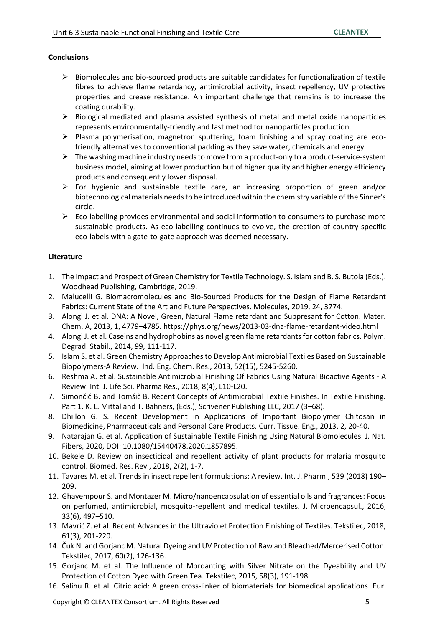#### **Conclusions**

- $\triangleright$  Biomolecules and bio-sourced products are suitable candidates for functionalization of textile fibres to achieve flame retardancy, antimicrobial activity, insect repellency, UV protective properties and crease resistance. An important challenge that remains is to increase the coating durability.
- $\triangleright$  Biological mediated and plasma assisted synthesis of metal and metal oxide nanoparticles represents environmentally-friendly and fast method for nanoparticles production.
- $\triangleright$  Plasma polymerisation, magnetron sputtering, foam finishing and spray coating are ecofriendly alternatives to conventional padding as they save water, chemicals and energy.
- $\triangleright$  The washing machine industry needs to move from a product-only to a product-service-system business model, aiming at lower production but of higher quality and higher energy efficiency products and consequently lower disposal.
- $\triangleright$  For hygienic and sustainable textile care, an increasing proportion of green and/or biotechnological materials needs to be introduced within the chemistry variable of the Sinner's circle.
- $\triangleright$  Eco-labelling provides environmental and social information to consumers to purchase more sustainable products. As eco-labelling continues to evolve, the creation of country-specific eco-labels with a gate-to-gate approach was deemed necessary.

#### **Literature**

- 1. The Impact and Prospect of Green Chemistry for Textile Technology. S. Islam and B. S. Butola (Eds.). Woodhead Publishing, Cambridge, 2019.
- 2. Malucelli G. Biomacromolecules and Bio-Sourced Products for the Design of Flame Retardant Fabrics: Current State of the Art and Future Perspectives. Molecules, 2019, 24, 3774.
- 3. Alongi J. et al. DNA: A Novel, Green, Natural Flame retardant and Suppresant for Cotton. Mater. Chem. A, 2013, 1, 4779–4785. https://phys.org/news/2013-03-dna-flame-retardant-video.html
- 4. Alongi J. et al. Caseins and hydrophobins as novel green flame retardants for cotton fabrics. Polym. Degrad. Stabil., 2014, 99, 111-117.
- 5. Islam S. et al. Green Chemistry Approaches to Develop Antimicrobial Textiles Based on Sustainable Biopolymers-A Review. Ind. Eng. Chem. Res., 2013, 52(15), 5245-5260.
- 6. Reshma A. et al. Sustainable Antimicrobial Finishing Of Fabrics Using Natural Bioactive Agents A Review. Int. J. Life Sci. Pharma Res., 2018, 8(4), L10-L20.
- 7. Simončič B. and Tomšič B. Recent Concepts of Antimicrobial Textile Finishes. In Textile Finishing. Part 1. K. L. Mittal and T. Bahners, (Eds.), Scrivener Publishing LLC, 2017 (3–68).
- 8. Dhillon G. S. Recent Development in Applications of Important Biopolymer Chitosan in Biomedicine, Pharmaceuticals and Personal Care Products. Curr. Tissue. Eng., 2013, 2, 20-40.
- 9. Natarajan G. et al. Application of Sustainable Textile Finishing Using Natural Biomolecules. J. Nat. Fibers, 2020, DOI: 10.1080/15440478.2020.1857895.
- 10. Bekele D. Review on insecticidal and repellent activity of plant products for malaria mosquito control. Biomed. Res. Rev., 2018, 2(2), 1-7.
- 11. Tavares M. et al. Trends in insect repellent formulations: A review. Int. J. Pharm., 539 (2018) 190– 209.
- 12. Ghayempour S. and Montazer M. Micro/nanoencapsulation of essential oils and fragrances: Focus on perfumed, antimicrobial, mosquito-repellent and medical textiles. J. Microencapsul., 2016, 33(6), 497–510.
- 13. Mavrić Z. et al. Recent Advances in the Ultraviolet Protection Finishing of Textiles. Tekstilec, 2018, 61(3), 201-220.
- 14. Čuk N. and Gorjanc M. Natural Dyeing and UV Protection of Raw and Bleached/Mercerised Cotton. Tekstilec, 2017, 60(2), 126-136.
- 15. Gorjanc M. et al. The Influence of Mordanting with Silver Nitrate on the Dyeability and UV Protection of Cotton Dyed with Green Tea. Tekstilec, 2015, 58(3), 191-198.
- 16. Salihu R. et al. Citric acid: A green cross-linker of biomaterials for biomedical applications. Eur.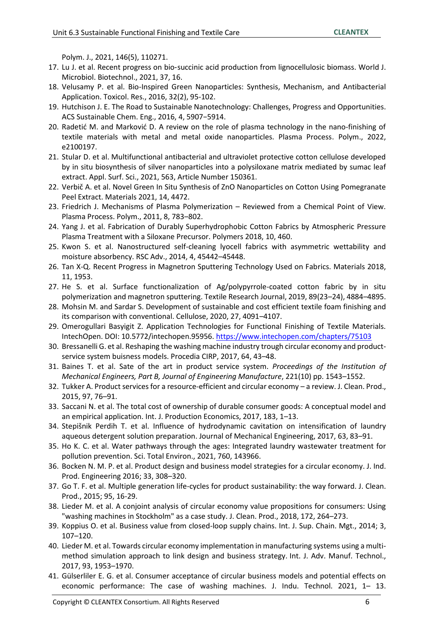Polym. J., 2021, 146(5), 110271.

- 17. Lu J. et al. Recent progress on bio-succinic acid production from lignocellulosic biomass. World J. Microbiol. Biotechnol., 2021, 37, 16.
- 18. Velusamy P. et al. Bio-Inspired Green Nanoparticles: Synthesis, Mechanism, and Antibacterial Application. Toxicol. Res., 2016, 32(2), 95-102.
- 19. Hutchison J. E. The Road to Sustainable Nanotechnology: Challenges, Progress and Opportunities. ACS Sustainable Chem. Eng., 2016, 4, 5907−5914.
- 20. Radetić M. and Marković D. A review on the role of plasma technology in the nano‐finishing of textile materials with metal and metal oxide nanoparticles. Plasma Process. Polym., 2022, e2100197.
- 21. Stular D. et al. Multifunctional antibacterial and ultraviolet protective cotton cellulose developed by in situ biosynthesis of silver nanoparticles into a polysiloxane matrix mediated by sumac leaf extract. Appl. Surf. Sci., 2021, 563, Article Number 150361.
- 22. Verbič A. et al. Novel Green In Situ Synthesis of ZnO Nanoparticles on Cotton Using Pomegranate Peel Extract. Materials 2021, 14, 4472.
- 23. Friedrich J. Mechanisms of Plasma Polymerization Reviewed from a Chemical Point of View. Plasma Process. Polym., 2011, 8, 783–802.
- 24. Yang J. et al. Fabrication of Durably Superhydrophobic Cotton Fabrics by Atmospheric Pressure Plasma Treatment with a Siloxane Precursor. Polymers 2018, 10, 460.
- 25. Kwon S. et al. Nanostructured self-cleaning lyocell fabrics with asymmetric wettability and moisture absorbency. RSC Adv., 2014, 4, 45442–45448.
- 26. Tan X-Q. Recent Progress in Magnetron Sputtering Technology Used on Fabrics. Materials 2018, 11, 1953.
- 27. He S. et al. Surface functionalization of Ag/polypyrrole-coated cotton fabric by in situ polymerization and magnetron sputtering. Textile Research Journal, 2019, 89(23–24), 4884–4895.
- 28. Mohsin M. and Sardar S. Development of sustainable and cost efficient textile foam finishing and its comparison with conventional. Cellulose, 2020, 27, 4091–4107.
- 29. Omerogullari Basyigit Z. Application Technologies for Functional Finishing of Textile Materials. IntechOpen. DOI: 10.5772/intechopen.95956.<https://www.intechopen.com/chapters/75103>
- 30. Bressanelli G. et al. Reshaping the washing machine industry trough circular economy and productservice system buisness models. Procedia CIRP, 2017, 64, 43–48.
- 31. Baines T. et al. Sate of the art in product service system. *Proceedings of the Institution of Mechanical Engineers, Part B, Journal of Engineering Manufacture*, 221(10) pp. 1543–1552.
- 32. Tukker A. Product services for a resource-efficient and circular economy a review. J. Clean. Prod., 2015, 97, 76–91.
- 33. Saccani N. et al. The total cost of ownership of durable consumer goods: A conceptual model and an empirical application. Int. J. Production Economics, 2017, 183, 1–13.
- 34. Stepišnik Perdih T. et al. Influence of hydrodynamic cavitation on intensification of laundry aqueous detergent solution preparation. Journal of Mechanical Engineering, 2017, 63, 83–91.
- 35. Ho K. C. et al. Water pathways through the ages: Integrated laundry wastewater treatment for pollution prevention. Sci. Total Environ., 2021, 760, 143966.
- 36. Bocken N. M. P. et al. Product design and business model strategies for a circular economy. J. Ind. Prod. Engineering 2016; 33, 308–320.
- 37. Go T. F. et al. Multiple generation life-cycles for product sustainability: the way forward. J. Clean. Prod., 2015; 95, 16-29.
- 38. Lieder M. et al. A conjoint analysis of circular economy value propositions for consumers: Using "washing machines in Stockholm" as a case study. J. Clean. Prod., 2018, 172, 264–273.
- 39. Koppius O. et al. Business value from closed-loop supply chains. Int. J. Sup. Chain. Mgt., 2014; 3, 107–120.
- 40. Lieder M. et al. Towards circular economy implementation in manufacturing systems using a multimethod simulation approach to link design and business strategy. Int. J. Adv. Manuf. Technol., 2017, 93, 1953–1970.
- 41. Gülserliler E. G. et al. Consumer acceptance of circular business models and potential effects on economic performance: The case of washing machines. J. Indu. Technol. 2021, 1– 13.